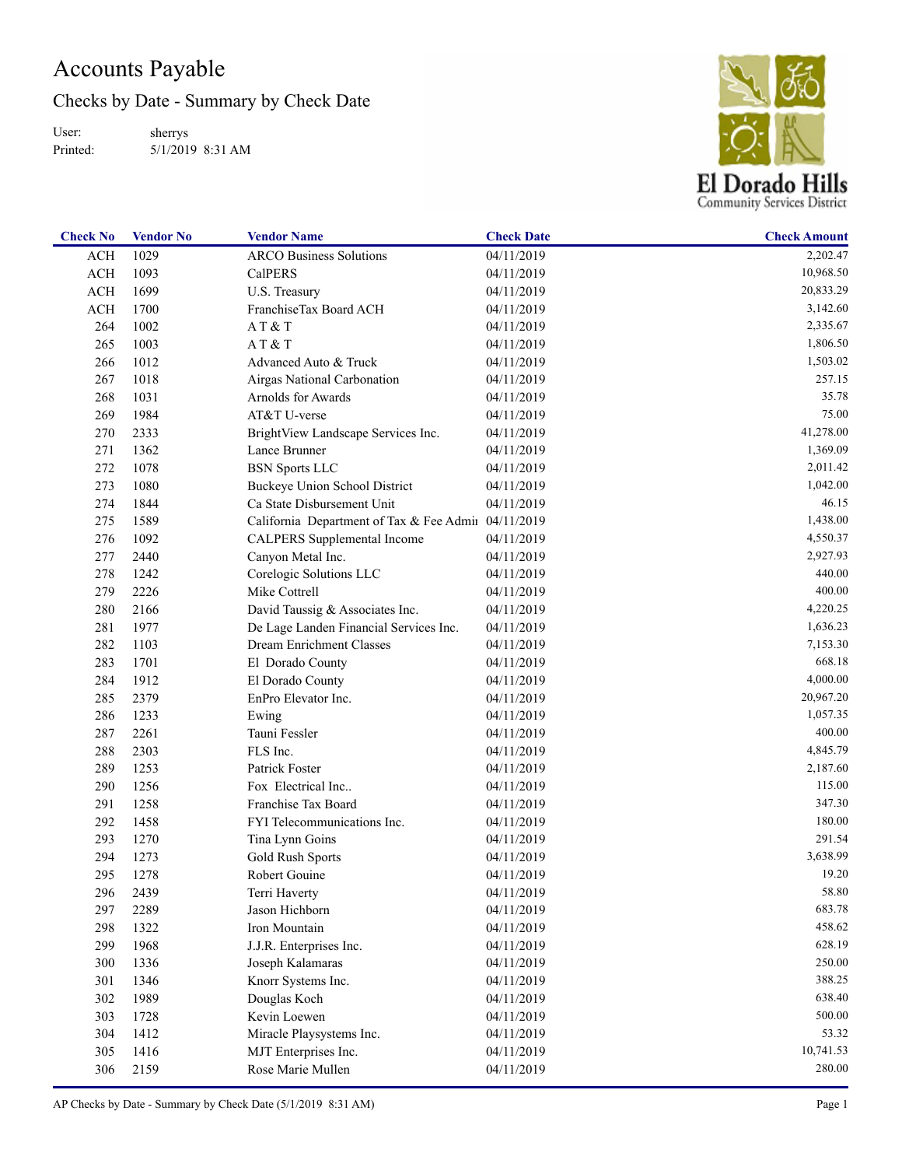## Accounts Payable

Checks by Date - Summary by Check Date

User: Printed: sherrys 5/1/2019 8:31 AM



| <b>Check No</b> | <b>Vendor No</b> | <b>Vendor Name</b>                                  | <b>Check Date</b> | <b>Check Amount</b> |
|-----------------|------------------|-----------------------------------------------------|-------------------|---------------------|
| <b>ACH</b>      | 1029             | <b>ARCO Business Solutions</b>                      | 04/11/2019        | 2,202.47            |
| <b>ACH</b>      | 1093             | <b>CalPERS</b>                                      | 04/11/2019        | 10,968.50           |
| <b>ACH</b>      | 1699             | U.S. Treasury                                       | 04/11/2019        | 20,833.29           |
| <b>ACH</b>      | 1700             | FranchiseTax Board ACH                              | 04/11/2019        | 3,142.60            |
| 264             | 1002             | AT & T                                              | 04/11/2019        | 2,335.67            |
| 265             | 1003             | AT&T                                                | 04/11/2019        | 1,806.50            |
| 266             | 1012             | Advanced Auto & Truck                               | 04/11/2019        | 1,503.02            |
| 267             | 1018             | Airgas National Carbonation                         | 04/11/2019        | 257.15              |
| 268             | 1031             | Arnolds for Awards                                  | 04/11/2019        | 35.78               |
| 269             | 1984             | AT&T U-verse                                        | 04/11/2019        | 75.00               |
| 270             | 2333             | BrightView Landscape Services Inc.                  | 04/11/2019        | 41,278.00           |
| 271             | 1362             | Lance Brunner                                       | 04/11/2019        | 1,369.09            |
| 272             | 1078             | <b>BSN</b> Sports LLC                               | 04/11/2019        | 2,011.42            |
| 273             | 1080             | Buckeye Union School District                       | 04/11/2019        | 1,042.00            |
| 274             | 1844             | Ca State Disbursement Unit                          | 04/11/2019        | 46.15               |
| 275             | 1589             | California Department of Tax & Fee Admii 04/11/2019 |                   | 1,438.00            |
| 276             | 1092             | CALPERS Supplemental Income                         | 04/11/2019        | 4,550.37            |
| 277             | 2440             | Canyon Metal Inc.                                   | 04/11/2019        | 2,927.93            |
| 278             | 1242             | Corelogic Solutions LLC                             | 04/11/2019        | 440.00              |
| 279             | 2226             | Mike Cottrell                                       | 04/11/2019        | 400.00              |
| 280             | 2166             | David Taussig & Associates Inc.                     | 04/11/2019        | 4,220.25            |
| 281             | 1977             | De Lage Landen Financial Services Inc.              | 04/11/2019        | 1,636.23            |
| 282             | 1103             | Dream Enrichment Classes                            | 04/11/2019        | 7,153.30            |
| 283             | 1701             | El Dorado County                                    | 04/11/2019        | 668.18              |
| 284             | 1912             | El Dorado County                                    | 04/11/2019        | 4,000.00            |
| 285             | 2379             | EnPro Elevator Inc.                                 | 04/11/2019        | 20,967.20           |
| 286             | 1233             | Ewing                                               | 04/11/2019        | 1,057.35            |
| 287             | 2261             | Tauni Fessler                                       | 04/11/2019        | 400.00              |
| 288             | 2303             | FLS Inc.                                            | 04/11/2019        | 4,845.79            |
| 289             | 1253             | Patrick Foster                                      | 04/11/2019        | 2,187.60            |
| 290             | 1256             | Fox Electrical Inc                                  | 04/11/2019        | 115.00              |
| 291             | 1258             | Franchise Tax Board                                 | 04/11/2019        | 347.30              |
| 292             | 1458             | FYI Telecommunications Inc.                         | 04/11/2019        | 180.00              |
| 293             | 1270             | Tina Lynn Goins                                     | 04/11/2019        | 291.54              |
| 294             | 1273             | Gold Rush Sports                                    | 04/11/2019        | 3,638.99            |
| 295             | 1278             | Robert Gouine                                       | 04/11/2019        | 19.20               |
| 296             | 2439             | Terri Haverty                                       | 04/11/2019        | 58.80               |
| 297             | 2289             | Jason Hichborn                                      | 04/11/2019        | 683.78              |
| 298             | 1322             | Iron Mountain                                       | 04/11/2019        | 458.62              |
| 299             | 1968             | J.J.R. Enterprises Inc.                             | 04/11/2019        | 628.19              |
| 300             | 1336             | Joseph Kalamaras                                    | 04/11/2019        | 250.00              |
| 301             | 1346             | Knorr Systems Inc.                                  | 04/11/2019        | 388.25              |
| 302             | 1989             | Douglas Koch                                        | 04/11/2019        | 638.40              |
| 303             | 1728             | Kevin Loewen                                        | 04/11/2019        | 500.00              |
| 304             | 1412             | Miracle Playsystems Inc.                            | 04/11/2019        | 53.32               |
| 305             | 1416             | MJT Enterprises Inc.                                | 04/11/2019        | 10,741.53           |
| 306             | 2159             | Rose Marie Mullen                                   | 04/11/2019        | 280.00              |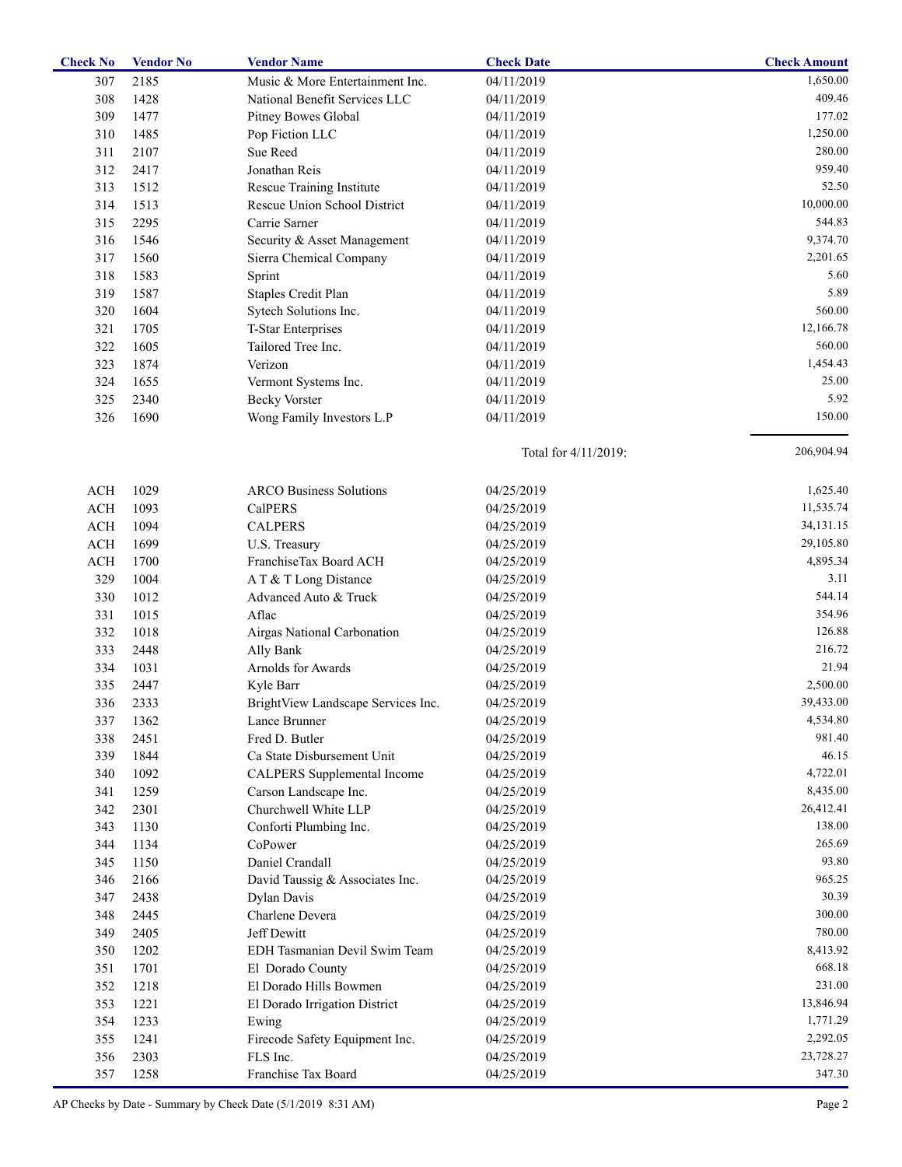| <b>Check No</b> | <b>Vendor No</b> | <b>Vendor Name</b>                 | <b>Check Date</b>    | <b>Check Amount</b> |
|-----------------|------------------|------------------------------------|----------------------|---------------------|
| 307             | 2185             | Music & More Entertainment Inc.    | 04/11/2019           | 1,650.00            |
| 308             | 1428             | National Benefit Services LLC      | 04/11/2019           | 409.46              |
| 309             | 1477             | Pitney Bowes Global                | 04/11/2019           | 177.02              |
| 310             | 1485             | Pop Fiction LLC                    | 04/11/2019           | 1,250.00            |
| 311             | 2107             | Sue Reed                           | 04/11/2019           | 280.00              |
| 312             | 2417             | Jonathan Reis                      | 04/11/2019           | 959.40              |
| 313             | 1512             | Rescue Training Institute          | 04/11/2019           | 52.50               |
| 314             | 1513             | Rescue Union School District       | 04/11/2019           | 10,000.00           |
| 315             | 2295             | Carrie Sarner                      | 04/11/2019           | 544.83              |
| 316             | 1546             | Security & Asset Management        | 04/11/2019           | 9,374.70            |
| 317             | 1560             | Sierra Chemical Company            | 04/11/2019           | 2,201.65            |
| 318             | 1583             | Sprint                             | 04/11/2019           | 5.60                |
| 319             | 1587             | Staples Credit Plan                | 04/11/2019           | 5.89                |
| 320             | 1604             | Sytech Solutions Inc.              | 04/11/2019           | 560.00              |
| 321             | 1705             | T-Star Enterprises                 | 04/11/2019           | 12,166.78           |
| 322             | 1605             | Tailored Tree Inc.                 | 04/11/2019           | 560.00              |
| 323             |                  | Verizon                            |                      | 1,454.43            |
|                 | 1874             |                                    | 04/11/2019           | 25.00               |
| 324             | 1655             | Vermont Systems Inc.               | 04/11/2019           | 5.92                |
| 325             | 2340             | <b>Becky Vorster</b>               | 04/11/2019           |                     |
| 326             | 1690             | Wong Family Investors L.P          | 04/11/2019           | 150.00              |
|                 |                  |                                    | Total for 4/11/2019: | 206,904.94          |
| <b>ACH</b>      | 1029             | <b>ARCO Business Solutions</b>     | 04/25/2019           | 1,625.40            |
| $\rm ACH$       | 1093             | <b>CalPERS</b>                     | 04/25/2019           | 11,535.74           |
| $\rm ACH$       | 1094             | <b>CALPERS</b>                     | 04/25/2019           | 34,131.15           |
| ACH             | 1699             | U.S. Treasury                      | 04/25/2019           | 29,105.80           |
| $\rm ACH$       | 1700             | FranchiseTax Board ACH             | 04/25/2019           | 4,895.34            |
| 329             | 1004             | A T & T Long Distance              | 04/25/2019           | 3.11                |
| 330             | 1012             | Advanced Auto & Truck              | 04/25/2019           | 544.14              |
| 331             | 1015             | Aflac                              | 04/25/2019           | 354.96              |
| 332             | 1018             | Airgas National Carbonation        | 04/25/2019           | 126.88              |
| 333             | 2448             | Ally Bank                          | 04/25/2019           | 216.72              |
| 334             | 1031             | Arnolds for Awards                 | 04/25/2019           | 21.94               |
| 335             | 2447             | Kyle Barr                          | 04/25/2019           | 2,500.00            |
| 336             | 2333             | BrightView Landscape Services Inc. | 04/25/2019           | 39,433.00           |
| 337             | 1362             |                                    | 04/25/2019           | 4,534.80            |
| 338             |                  | Lance Brunner<br>Fred D. Butler    |                      | 981.40              |
|                 | 2451             |                                    | 04/25/2019           | 46.15               |
| 339             | 1844             | Ca State Disbursement Unit         | 04/25/2019           | 4,722.01            |
| 340             | 1092             | <b>CALPERS</b> Supplemental Income | 04/25/2019           |                     |
| 341             | 1259             | Carson Landscape Inc.              | 04/25/2019           | 8,435.00            |
| 342             | 2301             | Churchwell White LLP               | 04/25/2019           | 26,412.41           |
| 343             | 1130             | Conforti Plumbing Inc.             | 04/25/2019           | 138.00              |
| 344             | 1134             | CoPower                            | 04/25/2019           | 265.69              |
| 345             | 1150             | Daniel Crandall                    | 04/25/2019           | 93.80               |
| 346             | 2166             | David Taussig & Associates Inc.    | 04/25/2019           | 965.25              |
| 347             | 2438             | Dylan Davis                        | 04/25/2019           | 30.39               |
| 348             | 2445             | Charlene Devera                    | 04/25/2019           | 300.00              |
| 349             | 2405             | Jeff Dewitt                        | 04/25/2019           | 780.00              |
| 350             | 1202             | EDH Tasmanian Devil Swim Team      | 04/25/2019           | 8,413.92            |
| 351             | 1701             | El Dorado County                   | 04/25/2019           | 668.18              |
| 352             | 1218             | El Dorado Hills Bowmen             | 04/25/2019           | 231.00              |
| 353             | 1221             | El Dorado Irrigation District      | 04/25/2019           | 13,846.94           |
| 354             | 1233             | Ewing                              | 04/25/2019           | 1,771.29            |
| 355             | 1241             | Firecode Safety Equipment Inc.     | 04/25/2019           | 2,292.05            |
| 356             | 2303             | FLS Inc.                           | 04/25/2019           | 23,728.27           |
| 357             | 1258             | Franchise Tax Board                | 04/25/2019           | 347.30              |
|                 |                  |                                    |                      |                     |